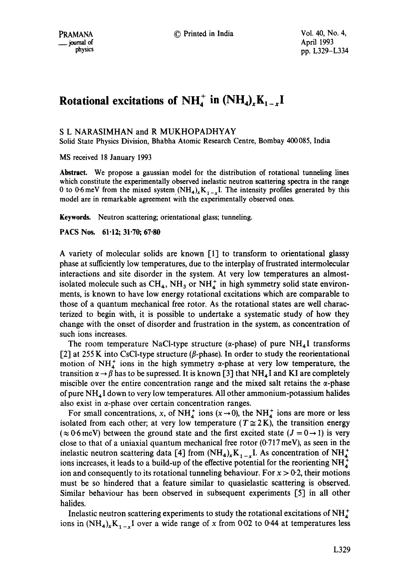# **Rotational excitations of NH<sub>4</sub><sup>+</sup> in**  $(\text{NH}_4)_x\text{K}_{1-x}\text{I}$

S L NARASIMHAN and R MUKHOPADHYAY

Solid State Physics Division, Bhabha Atomic Research Centre, Bombay 400085, India

MS received 18 January 1993

Abstract. We propose a gaussian model for the distribution of rotational tunneling lines which constitute the experimentally observed inelastic neutron scattering spectra in the range 0 to 0.6 meV from the mixed system  $(NH_4)_xK_{1-x}I$ . The intensity profiles generated by this model are in remarkable agreement with the experimentally observed ones.

Keywords. Neutron scattering; orientational glass; tunneling.

**PACS Nos. 61-12; 31"70; 67"80** 

A variety of molecular solids are known [1] to transform to orientational glassy phase at sufficiently low temperatures, due to the interplay of frustrated intermolecular interactions and site disorder in the system. At very low temperatures an almostisolated molecule such as  $CH_4$ ,  $NH_3$  or  $NH<sub>4</sub><sup>+</sup>$  in high symmetry solid state environments, is known to have low energy rotational excitations which are comparable to those of a quantum mechanical free rotor. As the rotational states are well characterized to begin with, it is possible to undertake a systematic study of how they change with the onset of disorder and frustration in the system, as concentration of such ions increases.

The room temperature NaCl-type structure ( $\alpha$ -phase) of pure NH<sub>4</sub>I transforms  $[2]$  at 255 K into CsCl-type structure ( $\beta$ -phase). In order to study the reorientational motion of NH $<sub>4</sub><sup>+</sup>$  ions in the high symmetry  $\alpha$ -phase at very low temperature, the</sub> transition  $\alpha \rightarrow \beta$  has to be supressed. It is known [3] that NH<sub>4</sub>I and KI are completely miscible over the entire concentration range and the mixed salt retains the  $\alpha$ -phase of pure  $NH<sub>4</sub>I$  down to very low temperatures. All other ammonium-potassium halides also exist in  $\alpha$ -phase over certain concentration ranges.

For small concentrations, x, of  $NH_4^+$  ions  $(x \rightarrow 0)$ , the  $NH_4^+$  ions are more or less isolated from each other; at very low temperature ( $T \approx 2$ K), the transition energy  $(\approx 0.6 \,\text{meV})$  between the ground state and the first excited state  $(J = 0 \rightarrow 1)$  is very close to that of a uniaxial quantum mechanical free rotor  $(0.717 \,\text{meV})$ , as seen in the inelastic neutron scattering data [4] from  $(NH_4)_xK_{1-x}$  I. As concentration of  $NH_4^+$ ions increases, it leads to a build-up of the effective potential for the reorienting  $NH_4^+$ ion and consequently to its rotational tunneling behaviour. For  $x > 0.2$ , their motions must be so hindered that a feature similar to quasielastic scattering is observed. Similar behaviour has been observed in subsequent experiments [5] in all other halides.

Inelastic neutron scattering experiments to study the rotational excitations of  $NH_4^+$ ions in  $(NH_4)_xK_{1-x}I$  over a wide range of x from 0.02 to 0.44 at temperatures less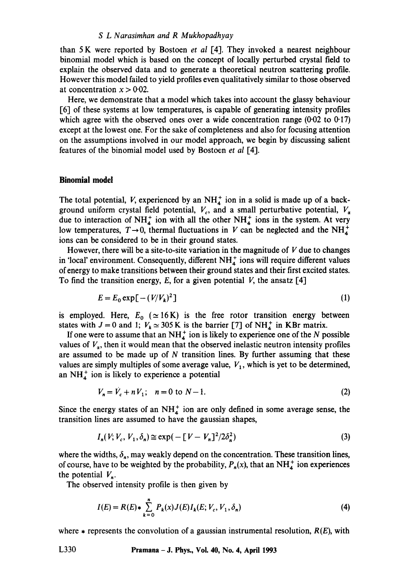#### *S L Narasimhan and R Mukhopadhyay*

than 5 K were reported by Bostoen *et al* [4]. They invoked a nearest neighbour binomial model which is based on the concept of locally perturbed crystal field to explain the observed data and to generate a theoretical neutron scattering profile. However this model failed to yield profiles even qualitatively similar to those observed at concentration  $x > 0.02$ .

Here, we demonstrate that a model which takes into account the glassy behaviour [6] of these systems at low temperatures, is capable of generating intensity profiles which agree with the observed ones over a wide concentration range  $(0.02 \text{ to } 0.17)$ except at the lowest one. For the sake of completeness and also for focusing attention on the assumptions involved in our model approach, we begin by discussing salient features of the binomial model used by Bostoen *et al* [4].

#### **Binomial model**

The total potential, V, experienced by an  $NH_4^+$  ion in a solid is made up of a background uniform crystal field potential,  $V_c$ , and a small perturbative potential,  $V_a$ due to interaction of NH<sup>+</sup> ion with all the other NH<sup>+</sup> ions in the system. At very low temperatures,  $T\rightarrow 0$ , thermal fluctuations in V can be neglected and the NH<sup>+</sup> ions can be considered to be in their ground states.

However, there will be a site-to-site variation in the magnitude of  $V$  due to changes in 'local' environment. Consequently, different  $NH_{4}^{+}$  ions will require different values of energy to make transitions between their ground states and their first excited states. To find the transition energy, E, for a given potential V, the ansatz  $[4]$ 

$$
E = E_0 \exp\left[-\left(\frac{V}{V_k}\right)^2\right] \tag{1}
$$

is employed. Here,  $E_0$  ( $\simeq$  16K) is the free rotor transition energy between states with  $J = 0$  and 1;  $V_k \approx 305 \text{ K}$  is the barrier [7] of NH<sub>4</sub> in KBr matrix.

If one were to assume that an  $NH_4^+$  ion is likely to experience one of the N possible values of  $V_{\alpha}$ , then it would mean that the observed inelastic neutron intensity profiles are assumed to be made up of  $N$  transition lines. By further assuming that these values are simply multiples of some average value,  $V_1$ , which is yet to be determined, an  $NH<sub>4</sub><sup>+</sup>$  ion is likely to experience a potential

$$
V_n = V_c + nV_1; \quad n = 0 \text{ to } N - 1. \tag{2}
$$

Since the energy states of an  $NH_4^+$  ion are only defined in some average sense, the transition lines are assumed to have the gaussian shapes,

$$
I_n(V; V_c, V_1, \delta_n) \cong \exp(-[V - V_n]^2 / 2\delta_n^2)
$$
 (3)

where the widths,  $\delta_n$ , may weakly depend on the concentration. These transition lines, of course, have to be weighted by the probability,  $P_n(x)$ , that an NH<sup>+</sup> ion experiences the potential  $V_n$ .

The observed intensity profile is then given by

$$
I(E) = R(E) * \sum_{k=0}^{n} P_k(x) J(E) I_k(E; V_c, V_1, \delta_n)
$$
\n(4)

where  $\ast$  represents the convolution of a gaussian instrumental resolution,  $R(E)$ , with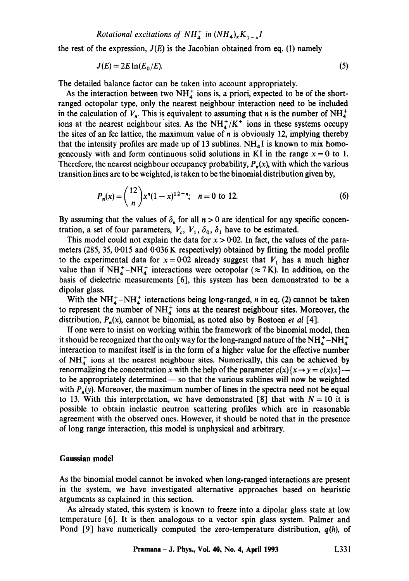*Rotational excitations of NH<sub>4</sub><sup>+</sup> in*  $(NH_4)_xK_{1-x}$ *<i>I* 

the rest of the expression,  $J(E)$  is the Jacobian obtained from eq. (1) namely

$$
J(E) = 2E \ln(E_0/E). \tag{5}
$$

The detailed balance factor can be taken into account appropriately.

As the interaction between two  $NH_4^+$  ions is, a priori, expected to be of the shortranged octopolar type, only the nearest neighbour interaction need to be included in the calculation of  $V_n$ . This is equivalent to assuming that n is the number of NH<sup>+</sup> ions at the nearest neighbour sites. As the  $NH<sub>4</sub><sup>+</sup>/K<sup>+</sup>$  ions in these systems occupy the sites of an fcc lattice, the maximum value of  $n$  is obviously 12, implying thereby that the intensity profiles are made up of 13 sublines.  $NH<sub>4</sub>I$  is known to mix homogeneously with and form continuous solid solutions in KI in the range  $x = 0$  to 1. Therefore, the nearest neighbour occupancy probability,  $P_n(x)$ , with which the various transition lines are to be weighted, is taken to be the binomial distribution given by,

$$
P_n(x) = {12 \choose n} x^n (1-x)^{12-n}; \quad n = 0 \text{ to } 12. \tag{6}
$$

By assuming that the values of  $\delta_n$  for all  $n > 0$  are identical for any specific concentration, a set of four parameters,  $V_c$ ,  $V_1$ ,  $\delta_0$ ,  $\delta_1$  have to be estimated.

This model could not explain the data for  $x > 0.02$ . In fact, the values of the parameters (285, 35, 0.015 and 0.036K respectively) obtained by fitting the model profile to the experimental data for  $x = 0.02$  already suggest that  $V_1$  has a much higher value than if  $NH_4^+$ -NH<sup>+</sup> interactions were octopolar ( $\approx$  7K). In addition, on the basis of dielectric measurements [6], this system has been demonstrated to be a dipolar glass.

With the  $NH_4^+$ -NH<sup>+</sup> interactions being long-ranged, n in eq. (2) cannot be taken to represent the number of  $NH<sub>4</sub><sup>+</sup>$  ions at the nearest neighbour sites. Moreover, the distribution, *Pn(x),* cannot be binomial, as noted also by Bostoen *et al* [4].

If one were to insist on working within the framework of the binomial model, then it should be recognized that the only way for the long-ranged nature of the  $NH_4^+$ -NH $_4^+$ interaction to manifest itself is in the form of a higher value for the effective number of  $NH<sub>4</sub><sup>+</sup>$  ions at the nearest neighbour sites. Numerically, this can be achieved by renormalizing the concentration x with the help of the parameter  $c(x)\{x \rightarrow y = c(x)x\}$ to be appropriately determined— so that the various sublines will now be weighted with  $P_n(y)$ . Moreover, the maximum number of lines in the spectra need not be equal to 13. With this interpretation, we have demonstrated [8] that with  $N = 10$  it is possible to obtain inelastic neutron scattering profiles which are in reasonable agreement with the observed ones. However, it should be noted that in the presence of long range interaction, this model is unphysical and arbitrary.

#### Gaussian model

As the binomial model cannot be invoked when long-ranged interactions are present in the system, we have investigated alternative approaches based on heuristic arguments as explained in this section.

As already stated, this system is known to freeze into a dipolar glass state at low temperature [6]. It is then analogous to a vector spin glass system. Palmer and Pond [9] have numerically computed the zero-temperature distribution, *q(h),* of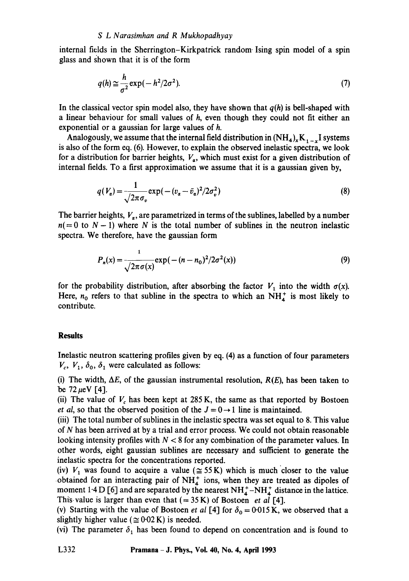internal fields in the Sherrington-Kirkpatrick random. Ising spin model of a spin glass and shown that it is of the form

$$
q(h) \approx \frac{h}{\sigma^2} \exp(-h^2/2\sigma^2). \tag{7}
$$

In the classical vector spin model also, they have shown that  $q(h)$  is bell-shaped with a linear behaviour for small values of h, even though they could not fit either an exponential or a gaussian for large values of h.

Analogously, we assume that the internal field distribution in  $(NH_4)_xK_{1-x}$  I systems is also of the form eq. (6). However, to explain the observed inelastic spectra, we look for a distribution for barrier heights,  $V_{\alpha}$ , which must exist for a given distribution of internal fields. To a first approximation we assume that it is a gaussian given by,

$$
q(V_{\alpha}) = \frac{1}{\sqrt{2\pi\sigma_v}} \exp(-(v_{\alpha} - \bar{v}_{\alpha})^2/2\sigma_v^2)
$$
\n(8)

The barrier heights,  $V_{\alpha}$ , are parametrized in terms of the sublines, labelled by a number  $n(= 0$  to  $N - 1$ ) where N is the total number of sublines in the neutron inelastic spectra. We therefore, have the gaussian form

$$
P_n(x) = \frac{1}{\sqrt{2\pi\sigma(x)}} \exp(-(n - n_0)^2/2\sigma^2(x))
$$
\n(9)

for the probability distribution, after absorbing the factor  $V_1$  into the width  $\sigma(x)$ . Here,  $n_0$  refers to that subline in the spectra to which an NH $^{+}_{4}$  is most likely to contribute.

## **Results**

Inelastic neutron scattering profiles given by eq. (4) as a function of four parameters  $V_c$ ,  $V_1$ ,  $\delta_0$ ,  $\delta_1$  were calculated as follows:

(i) The width,  $\Delta E$ , of the gaussian instrumental resolution,  $R(E)$ , has been taken to be  $72 \,\mu\text{eV}$  [4].

(ii) The value of  $V<sub>c</sub>$  has been kept at 285 K, the same as that reported by Bostoen *et al,* so that the observed position of the  $J = 0 \rightarrow 1$  line is maintained.

(iii) The total number of sublines in the inelastic spectra was set equal to 8. This value of N has been arrived at by a trial and error process. We could not obtain reasonable looking intensity profiles with  $N < 8$  for any combination of the parameter values. In other words, eight gaussian sublines are necessary and sufficient to generate the inelastic spectra for the concentrations reported.

(iv)  $V_1$  was found to acquire a value ( $\approx$  55 K) which is much closer to the value obtained for an interacting pair of  $NH<sub>4</sub><sup>+</sup>$  ions, when they are treated as dipoles of moment 1.4 D [6] and are separated by the nearest  $NH_4^+$ -NH $_4^+$  distance in the lattice. This value is larger than even that  $(= 35 \text{ K})$  of Bostoen *et al* [4].

(v) Starting with the value of Bostoen *et al* [4] for  $\delta_0 = 0.015$  K, we observed that a slightly higher value ( $\approx 0.02$  K) is needed.

(vi) The parameter  $\delta_1$  has been found to depend on concentration and is found to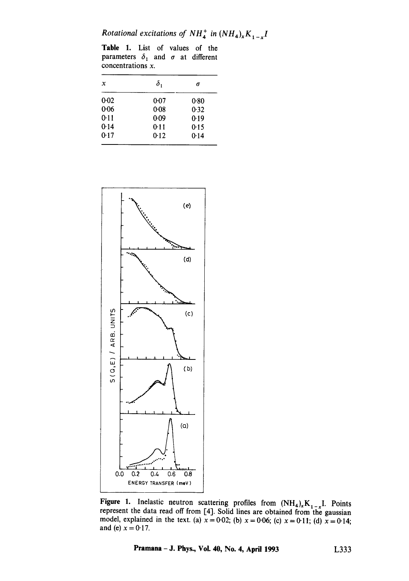*Rotational excitations of NH<sub>4</sub><sup>+</sup> in*  $(NH_4)_xK_{1-x}$ *<i>I* 

Table 1. List of values of the parameters  $\delta_1$  and  $\sigma$  at different concentrations x.

| x        | $\delta_{1}$ | σ    |
|----------|--------------|------|
| $0-02$   | 0:07         | 0.80 |
| $0 - 06$ | 0.08         | 0.32 |
| 0.11     | 0.09         | 0.19 |
| 0.14     | 0.11         | 0.15 |
| 0.17     | 0.12         | 0.14 |



Figure 1. Inelastic neutron scattering profiles from  $(NH_4)_xK_{1-x}I$ . Points represent the data read off from [4]. Solid lines are obtained from the gaussian model, explained in the text. (a)  $x = 0.02$ ; (b)  $x = 0.06$ ; (c)  $x = 0.11$ ; (d)  $x = 0.14$ ; and (e)  $x = 0.17$ .